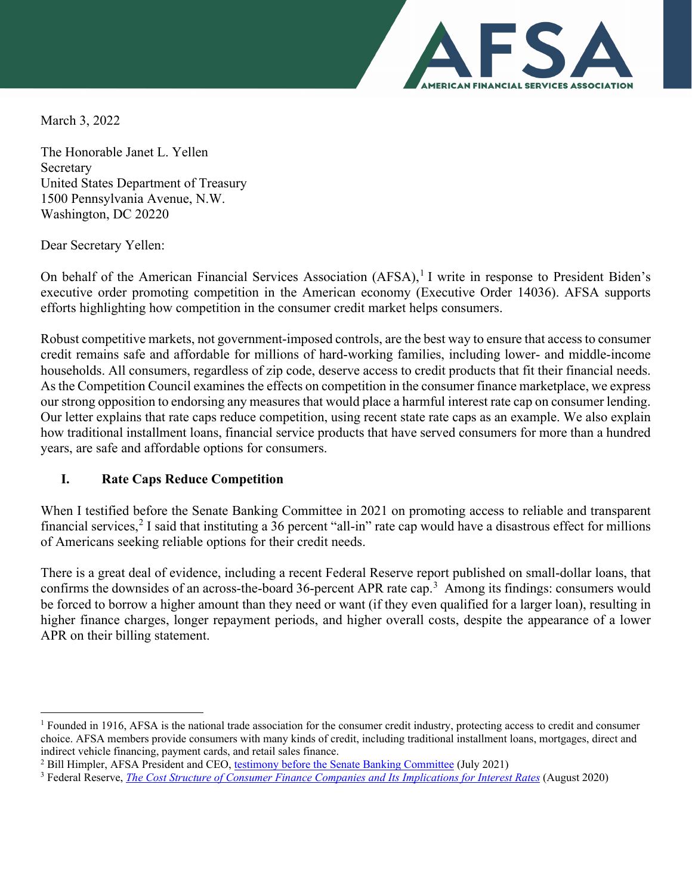

March 3, 2022

The Honorable Janet L. Yellen Secretary United States Department of Treasury 1500 Pennsylvania Avenue, N.W. Washington, DC 20220

Dear Secretary Yellen:

On behalf of the American Financial Services Association (AFSA),<sup>[1](#page-0-0)</sup> I write in response to President Biden's executive order promoting competition in the American economy (Executive Order 14036). AFSA supports efforts highlighting how competition in the consumer credit market helps consumers.

Robust competitive markets, not government-imposed controls, are the best way to ensure that access to consumer credit remains safe and affordable for millions of hard-working families, including lower- and middle-income households. All consumers, regardless of zip code, deserve access to credit products that fit their financial needs. As the Competition Council examines the effects on competition in the consumer finance marketplace, we express our strong opposition to endorsing any measures that would place a harmful interest rate cap on consumer lending. Our letter explains that rate caps reduce competition, using recent state rate caps as an example. We also explain how traditional installment loans, financial service products that have served consumers for more than a hundred years, are safe and affordable options for consumers.

## **I. Rate Caps Reduce Competition**

When I testified before the Senate Banking Committee in 2021 on promoting access to reliable and transparent financial services,<sup>[2](#page-0-1)</sup> I said that instituting a 36 percent "all-in" rate cap would have a disastrous effect for millions of Americans seeking reliable options for their credit needs.

There is a great deal of evidence, including a recent Federal Reserve report published on small-dollar loans, that confirms the downsides of an across-the-board [3](#page-0-2)6-percent APR rate cap.<sup>3</sup> Among its findings: consumers would be forced to borrow a higher amount than they need or want (if they even qualified for a larger loan), resulting in higher finance charges, longer repayment periods, and higher overall costs, despite the appearance of a lower APR on their billing statement.

<span id="page-0-0"></span><sup>&</sup>lt;sup>1</sup> Founded in 1916, AFSA is the national trade association for the consumer credit industry, protecting access to credit and consumer choice. AFSA members provide consumers with many kinds of credit, including traditional installment loans, mortgages, direct and indirect vehicle financing, payment cards, and retail sales finance.

<span id="page-0-1"></span><sup>&</sup>lt;sup>2</sup> Bill Himpler, AFSA President and CEO, [testimony before the Senate Banking Committee](https://www.banking.senate.gov/imo/media/doc/Himpler%20Testimony%207-29-21.pdf) (July 2021)

<span id="page-0-2"></span><sup>3</sup> Federal Reserve, *[The Cost Structure of Consumer Finance Companies and](https://www.federalreserve.gov/econres/notes/feds-notes/the-cost-structure-of-consumer-finance-companies-and-its-implications-for-interest-rates-20200812.htm) Its Implications for Interest Rates* (August 2020)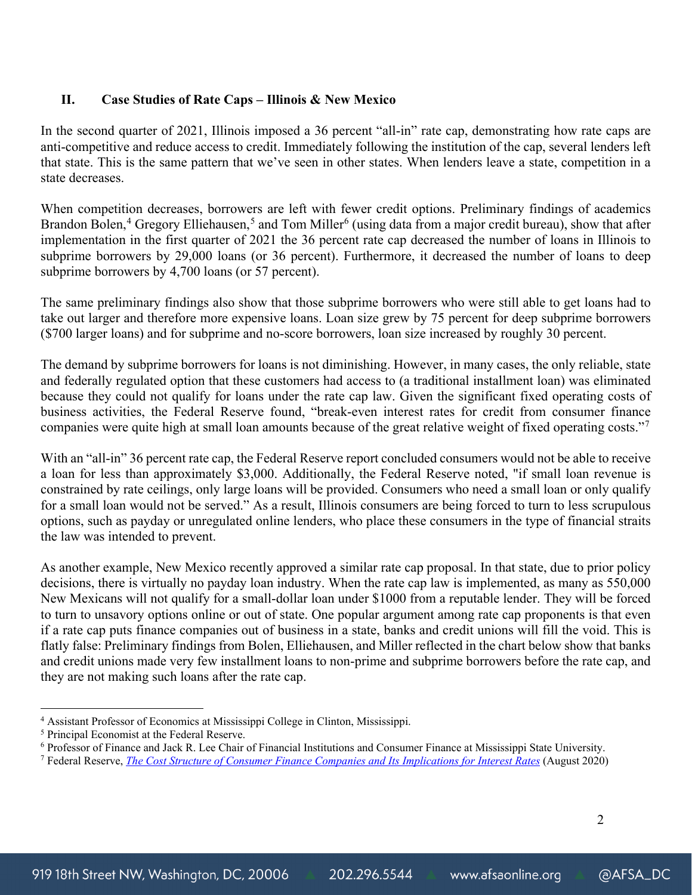## **II. Case Studies of Rate Caps – Illinois & New Mexico**

In the second quarter of 2021, Illinois imposed a 36 percent "all-in" rate cap, demonstrating how rate caps are anti-competitive and reduce access to credit. Immediately following the institution of the cap, several lenders left that state. This is the same pattern that we've seen in other states. When lenders leave a state, competition in a state decreases.

When competition decreases, borrowers are left with fewer credit options. Preliminary findings of academics Brandon Bolen,<sup>[4](#page-1-0)</sup> Gregory Elliehausen,<sup>[5](#page-1-1)</sup> and Tom Miller<sup>[6](#page-1-2)</sup> (using data from a major credit bureau), show that after implementation in the first quarter of 2021 the 36 percent rate cap decreased the number of loans in Illinois to subprime borrowers by 29,000 loans (or 36 percent). Furthermore, it decreased the number of loans to deep subprime borrowers by 4,700 loans (or 57 percent).

The same preliminary findings also show that those subprime borrowers who were still able to get loans had to take out larger and therefore more expensive loans. Loan size grew by 75 percent for deep subprime borrowers (\$700 larger loans) and for subprime and no-score borrowers, loan size increased by roughly 30 percent.

The demand by subprime borrowers for loans is not diminishing. However, in many cases, the only reliable, state and federally regulated option that these customers had access to (a traditional installment loan) was eliminated because they could not qualify for loans under the rate cap law. Given the significant fixed operating costs of business activities, the Federal Reserve found, "break-even interest rates for credit from consumer finance companies were quite high at small loan amounts because of the great relative weight of fixed operating costs."<sup>[7](#page-1-3)</sup>

With an "all-in" 36 percent rate cap, the Federal Reserve report concluded consumers would not be able to receive a loan for less than approximately \$3,000. Additionally, the Federal Reserve noted, "if small loan revenue is constrained by rate ceilings, only large loans will be provided. Consumers who need a small loan or only qualify for a small loan would not be served." As a result, Illinois consumers are being forced to turn to less scrupulous options, such as payday or unregulated online lenders, who place these consumers in the type of financial straits the law was intended to prevent.

As another example, New Mexico recently approved a similar rate cap proposal. In that state, due to prior policy decisions, there is virtually no payday loan industry. When the rate cap law is implemented, as many as 550,000 New Mexicans will not qualify for a small-dollar loan under \$1000 from a reputable lender. They will be forced to turn to unsavory options online or out of state. One popular argument among rate cap proponents is that even if a rate cap puts finance companies out of business in a state, banks and credit unions will fill the void. This is flatly false: Preliminary findings from Bolen, Elliehausen, and Miller reflected in the chart below show that banks and credit unions made very few installment loans to non-prime and subprime borrowers before the rate cap, and they are not making such loans after the rate cap.

<span id="page-1-0"></span><sup>4</sup> Assistant Professor of Economics at Mississippi College in Clinton, Mississippi.

<span id="page-1-1"></span><sup>5</sup> Principal Economist at the Federal Reserve.

<span id="page-1-2"></span><sup>6</sup> Professor of Finance and Jack R. Lee Chair of Financial Institutions and Consumer Finance at Mississippi State University.

<span id="page-1-3"></span><sup>7</sup> Federal Reserve, *[The Cost Structure of Consumer Finance Companies and Its Implications for Interest Rates](https://www.federalreserve.gov/econres/notes/feds-notes/the-cost-structure-of-consumer-finance-companies-and-its-implications-for-interest-rates-20200812.htm)* (August 2020)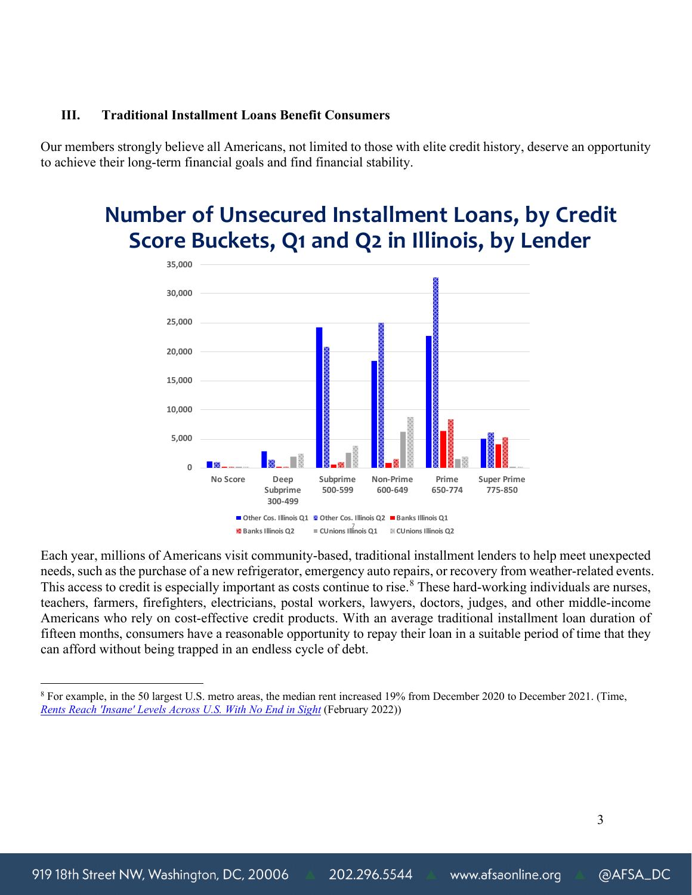### **III. Traditional Installment Loans Benefit Consumers**

Our members strongly believe all Americans, not limited to those with elite credit history, deserve an opportunity to achieve their long-term financial goals and find financial stability.

# **Number of Unsecured Installment Loans, by Credit Score Buckets, Q1 and Q2 in Illinois, by Lender**



Each year, millions of Americans visit community-based, traditional installment lenders to help meet unexpected needs, such as the purchase of a new refrigerator, emergency auto repairs, or recovery from weather-related events. This access to credit is especially important as costs continue to rise.<sup>[8](#page-2-0)</sup> These hard-working individuals are nurses, teachers, farmers, firefighters, electricians, postal workers, lawyers, doctors, judges, and other middle-income Americans who rely on cost-effective credit products. With an average traditional installment loan duration of fifteen months, consumers have a reasonable opportunity to repay their loan in a suitable period of time that they can afford without being trapped in an endless cycle of debt.

<span id="page-2-0"></span><sup>8</sup> For example, in the 50 largest U.S. metro areas, the median rent increased 19% from December 2020 to December 2021. (Time, *[Rents Reach 'Insane' Levels Across U.S. With No End in Sight](https://time.com/6149784/rent-u-s/)* (February 2022))